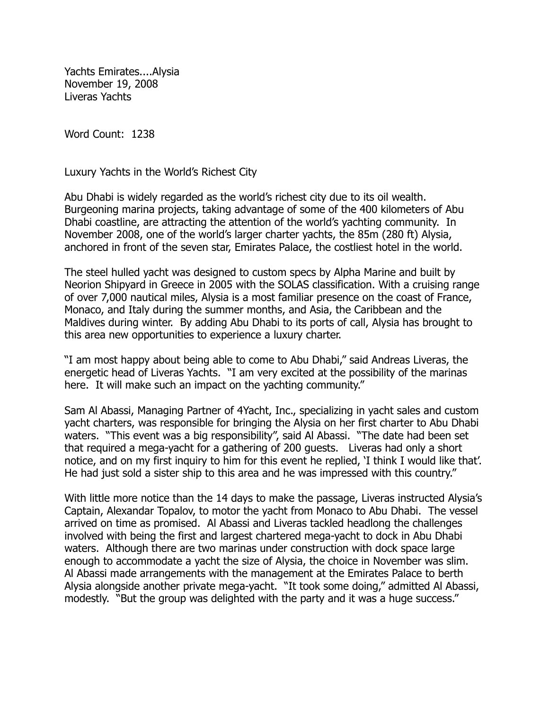Yachts Emirates....Alysia November 19, 2008 Liveras Yachts

Word Count: 1238

Luxury Yachts in the World's Richest City

Abu Dhabi is widely regarded as the world's richest city due to its oil wealth. Burgeoning marina projects, taking advantage of some of the 400 kilometers of Abu Dhabi coastline, are attracting the attention of the world's yachting community. In November 2008, one of the world's larger charter yachts, the 85m (280 ft) Alysia, anchored in front of the seven star, Emirates Palace, the costliest hotel in the world.

The steel hulled yacht was designed to custom specs by Alpha Marine and built by Neorion Shipyard in Greece in 2005 with the SOLAS classification. With a cruising range of over 7,000 nautical miles, Alysia is a most familiar presence on the coast of France, Monaco, and Italy during the summer months, and Asia, the Caribbean and the Maldives during winter. By adding Abu Dhabi to its ports of call, Alysia has brought to this area new opportunities to experience a luxury charter.

"I am most happy about being able to come to Abu Dhabi," said Andreas Liveras, the energetic head of Liveras Yachts. "I am very excited at the possibility of the marinas here. It will make such an impact on the yachting community."

Sam Al Abassi, Managing Partner of 4Yacht, Inc., specializing in yacht sales and custom yacht charters, was responsible for bringing the Alysia on her first charter to Abu Dhabi waters. "This event was a big responsibility", said Al Abassi. "The date had been set that required a mega-yacht for a gathering of 200 guests. Liveras had only a short notice, and on my first inquiry to him for this event he replied, 'I think I would like that'. He had just sold a sister ship to this area and he was impressed with this country."

With little more notice than the 14 days to make the passage, Liveras instructed Alysia's Captain, Alexandar Topalov, to motor the yacht from Monaco to Abu Dhabi. The vessel arrived on time as promised. Al Abassi and Liveras tackled headlong the challenges involved with being the first and largest chartered mega-yacht to dock in Abu Dhabi waters. Although there are two marinas under construction with dock space large enough to accommodate a yacht the size of Alysia, the choice in November was slim. Al Abassi made arrangements with the management at the Emirates Palace to berth Alysia alongside another private mega-yacht. "It took some doing," admitted Al Abassi, modestly. "But the group was delighted with the party and it was a huge success."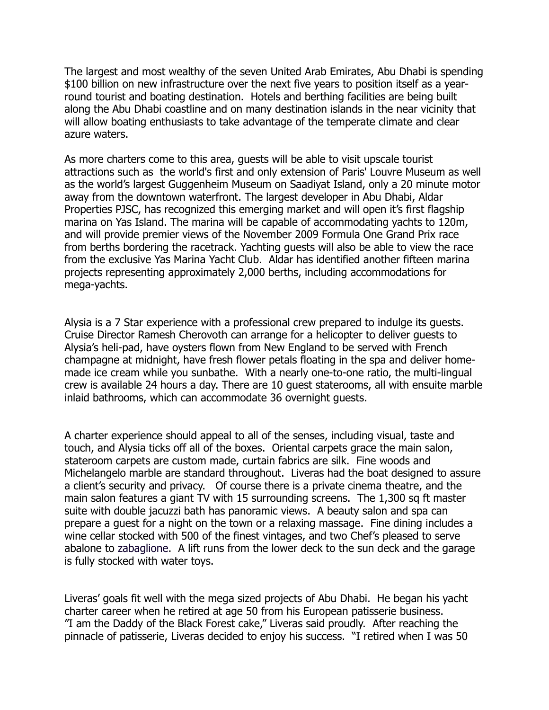The largest and most wealthy of the seven United Arab Emirates, Abu Dhabi is spending \$100 billion on new infrastructure over the next five years to position itself as a yearround tourist and boating destination. Hotels and berthing facilities are being built along the Abu Dhabi coastline and on many destination islands in the near vicinity that will allow boating enthusiasts to take advantage of the temperate climate and clear azure waters.

As more charters come to this area, guests will be able to visit upscale tourist attractions such as the world's first and only extension of Paris' Louvre Museum as well as the world's largest Guggenheim Museum on Saadiyat Island, only a 20 minute motor away from the downtown waterfront. The largest developer in Abu Dhabi, Aldar Properties PJSC, has recognized this emerging market and will open it's first flagship marina on Yas Island. The marina will be capable of accommodating yachts to 120m, and will provide premier views of the November 2009 Formula One Grand Prix race from berths bordering the racetrack. Yachting guests will also be able to view the race from the exclusive Yas Marina Yacht Club. Aldar has identified another fifteen marina projects representing approximately 2,000 berths, including accommodations for mega-yachts.

Alysia is a 7 Star experience with a professional crew prepared to indulge its guests. Cruise Director Ramesh Cherovoth can arrange for a helicopter to deliver guests to Alysia's heli-pad, have oysters flown from New England to be served with French champagne at midnight, have fresh flower petals floating in the spa and deliver homemade ice cream while you sunbathe. With a nearly one-to-one ratio, the multi-lingual crew is available 24 hours a day. There are 10 guest staterooms, all with ensuite marble inlaid bathrooms, which can accommodate 36 overnight guests.

A charter experience should appeal to all of the senses, including visual, taste and touch, and Alysia ticks off all of the boxes. Oriental carpets grace the main salon, stateroom carpets are custom made, curtain fabrics are silk. Fine woods and Michelangelo marble are standard throughout. Liveras had the boat designed to assure a client's security and privacy. Of course there is a private cinema theatre, and the main salon features a giant TV with 15 surrounding screens. The 1,300 sq ft master suite with double jacuzzi bath has panoramic views. A beauty salon and spa can prepare a guest for a night on the town or a relaxing massage. Fine dining includes a wine cellar stocked with 500 of the finest vintages, and two Chef's pleased to serve abalone to zabaglione. A lift runs from the lower deck to the sun deck and the garage is fully stocked with water toys.

Liveras' goals fit well with the mega sized projects of Abu Dhabi. He began his yacht charter career when he retired at age 50 from his European patisserie business. "I am the Daddy of the Black Forest cake," Liveras said proudly. After reaching the pinnacle of patisserie, Liveras decided to enjoy his success. "I retired when I was 50